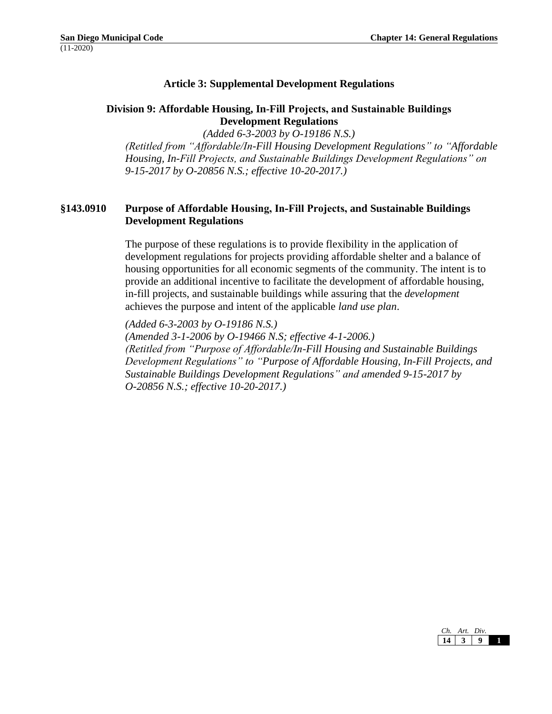## **Article 3: Supplemental Development Regulations**

#### **Division 9: Affordable Housing, In-Fill Projects, and Sustainable Buildings Development Regulations**

*(Added 6-3-2003 by O-19186 N.S.) (Retitled from "Affordable/In-Fill Housing Development Regulations" to "Affordable Housing, In-Fill Projects, and Sustainable Buildings Development Regulations" on 9-15-2017 by O-20856 N.S.; effective 10-20-2017.)*

## **§143.0910 Purpose of Affordable Housing, In-Fill Projects, and Sustainable Buildings Development Regulations**

The purpose of these regulations is to provide flexibility in the application of development regulations for projects providing affordable shelter and a balance of housing opportunities for all economic segments of the community. The intent is to provide an additional incentive to facilitate the development of affordable housing, in-fill projects, and sustainable buildings while assuring that the *development*  achieves the purpose and intent of the applicable *land use plan*.

*(Added 6-3-2003 by O-19186 N.S.) (Amended 3-1-2006 by O-19466 N.S; effective 4-1-2006.) (Retitled from "Purpose of Affordable/In-Fill Housing and Sustainable Buildings Development Regulations" to "Purpose of Affordable Housing, In-Fill Projects, and Sustainable Buildings Development Regulations" and amended 9-15-2017 by O-20856 N.S.; effective 10-20-2017.)*

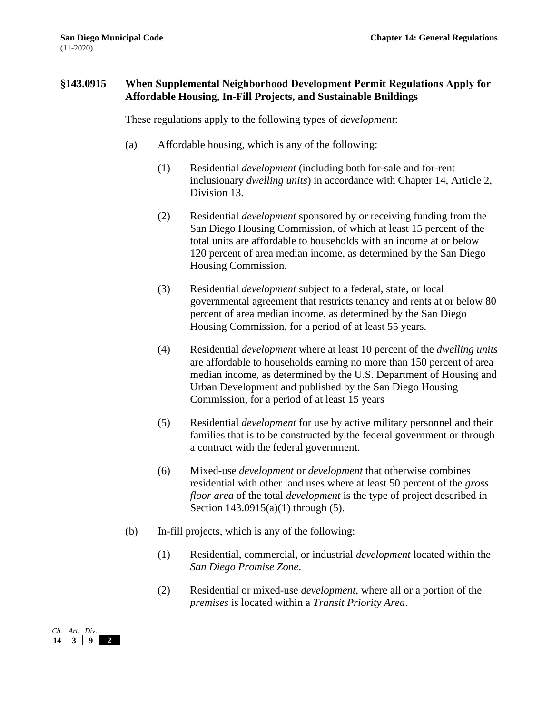# **§143.0915 When Supplemental Neighborhood Development Permit Regulations Apply for Affordable Housing, In-Fill Projects, and Sustainable Buildings**

These regulations apply to the following types of *development*:

- (a) Affordable housing, which is any of the following:
	- (1) Residential *development* (including both for-sale and for-rent inclusionary *dwelling units*) in accordance with Chapter 14, Article 2, Division 13.
	- (2) Residential *development* sponsored by or receiving funding from the San Diego Housing Commission, of which at least 15 percent of the total units are affordable to households with an income at or below 120 percent of area median income, as determined by the San Diego Housing Commission.
	- (3) Residential *development* subject to a federal, state, or local governmental agreement that restricts tenancy and rents at or below 80 percent of area median income, as determined by the San Diego Housing Commission, for a period of at least 55 years.
	- (4) Residential *development* where at least 10 percent of the *dwelling units* are affordable to households earning no more than 150 percent of area median income, as determined by the U.S. Department of Housing and Urban Development and published by the San Diego Housing Commission, for a period of at least 15 years
	- (5) Residential *development* for use by active military personnel and their families that is to be constructed by the federal government or through a contract with the federal government.
	- (6) Mixed-use *development* or *development* that otherwise combines residential with other land uses where at least 50 percent of the *gross floor area* of the total *development* is the type of project described in Section 143.0915(a)(1) through (5).
- (b) In-fill projects, which is any of the following:
	- (1) Residential, commercial, or industrial *development* located within the *San Diego Promise Zone*.
	- (2) Residential or mixed-use *development*, where all or a portion of the *premises* is located within a *Transit Priority Area*.

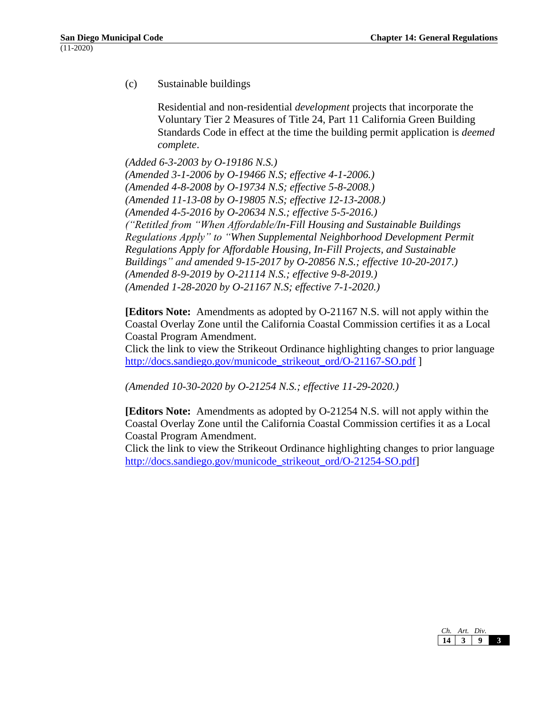(c) Sustainable buildings

Residential and non-residential *development* projects that incorporate the Voluntary Tier 2 Measures of Title 24, Part 11 California Green Building Standards Code in effect at the time the building permit application is *deemed complete*.

*(Added 6-3-2003 by O-19186 N.S.) (Amended 3-1-2006 by O-19466 N.S; effective 4-1-2006.) (Amended 4-8-2008 by O-19734 N.S; effective 5-8-2008.) (Amended 11-13-08 by O-19805 N.S; effective 12-13-2008.) (Amended 4-5-2016 by O-20634 N.S.; effective 5-5-2016.) ("Retitled from "When Affordable/In-Fill Housing and Sustainable Buildings Regulations Apply" to "When Supplemental Neighborhood Development Permit Regulations Apply for Affordable Housing, In-Fill Projects, and Sustainable Buildings" and amended 9-15-2017 by O-20856 N.S.; effective 10-20-2017.) (Amended 8-9-2019 by O-21114 N.S.; effective 9-8-2019.) (Amended 1-28-2020 by O-21167 N.S; effective 7-1-2020.)*

**[Editors Note:** Amendments as adopted by O-21167 N.S. will not apply within the Coastal Overlay Zone until the California Coastal Commission certifies it as a Local Coastal Program Amendment.

Click the link to view the Strikeout Ordinance highlighting changes to prior language [http://docs.sandiego.gov/municode\\_strikeout\\_ord/O-21167-SO.pdf](http://docs.sandiego.gov/municode_strikeout_ord/O-21167-SO.pdf) ]

*(Amended 10-30-2020 by O-21254 N.S.; effective 11-29-2020.)*

**[Editors Note:** Amendments as adopted by O-21254 N.S. will not apply within the Coastal Overlay Zone until the California Coastal Commission certifies it as a Local Coastal Program Amendment.

Click the link to view the Strikeout Ordinance highlighting changes to prior language [http://docs.sandiego.gov/municode\\_strikeout\\_ord/O-21254-SO.pdf\]](http://docs.sandiego.gov/municode_strikeout_ord/O-21254-SO.pdf)

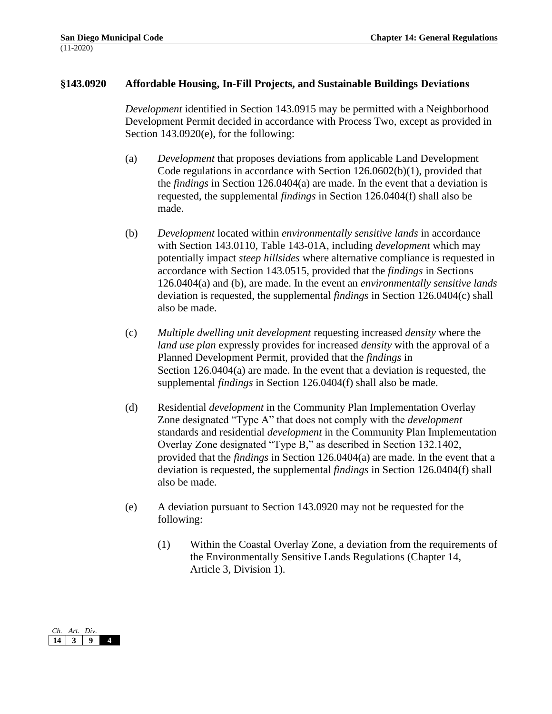#### **§143.0920 Affordable Housing, In-Fill Projects, and Sustainable Buildings Deviations**

*Development* identified in Section 143.0915 may be permitted with a Neighborhood Development Permit decided in accordance with Process Two, except as provided in Section 143.0920(e), for the following:

- (a) *Development* that proposes deviations from applicable Land Development Code regulations in accordance with Section 126.0602(b)(1), provided that the *findings* in Section 126.0404(a) are made. In the event that a deviation is requested, the supplemental *findings* in Section 126.0404(f) shall also be made.
- (b) *Development* located within *environmentally sensitive lands* in accordance with Section 143.0110, Table 143-01A, including *development* which may potentially impact *steep hillsides* where alternative compliance is requested in accordance with Section 143.0515, provided that the *findings* in Sections 126.0404(a) and (b), are made. In the event an *environmentally sensitive lands* deviation is requested, the supplemental *findings* in Section 126.0404(c) shall also be made.
- (c) *Multiple dwelling unit development* requesting increased *density* where the *land use plan* expressly provides for increased *density* with the approval of a Planned Development Permit, provided that the *findings* in Section 126.0404(a) are made. In the event that a deviation is requested, the supplemental *findings* in Section 126.0404(f) shall also be made.
- (d) Residential *development* in the Community Plan Implementation Overlay Zone designated "Type A" that does not comply with the *development* standards and residential *development* in the Community Plan Implementation Overlay Zone designated "Type B," as described in Section 132.1402, provided that the *findings* in Section 126.0404(a) are made. In the event that a deviation is requested, the supplemental *findings* in Section 126.0404(f) shall also be made.
- (e) A deviation pursuant to Section 143.0920 may not be requested for the following:
	- (1) Within the Coastal Overlay Zone, a deviation from the requirements of the Environmentally Sensitive Lands Regulations (Chapter 14, Article 3, Division 1).